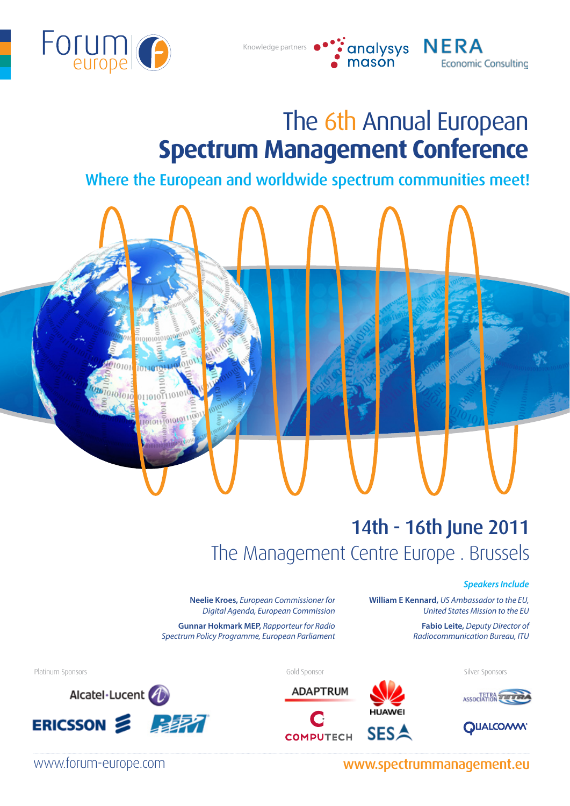

 $010101$ 

1010111010101110

 $010101010$ 

# The 6th Annual European **Spectrum Management Conference**

• analysys<br>• mason

**NERA** 

**Economic Consulting** 

Where the European and worldwide spectrum communities meet!

Knowledge partners

# 14th - 16th June 2011 The Management Centre Europe . Brussels

#### *Speakers Include*

**William E Kennard,** *US Ambassador to the EU, United States Mission to the EU*

> **Fabio Leite,** *Deputy Director of Radiocommunication Bureau, ITU*

**Neelie Kroes,** *European Commissioner for Digital Agenda, European Commission* **Gunnar Hokmark MEP,** *Rapporteur for Radio Spectrum Policy Programme, European Parliament*







Platinum Sponsors Gold Sponsor Silver Sponsors





www.forum-europe.com www.spectrummanagement.eu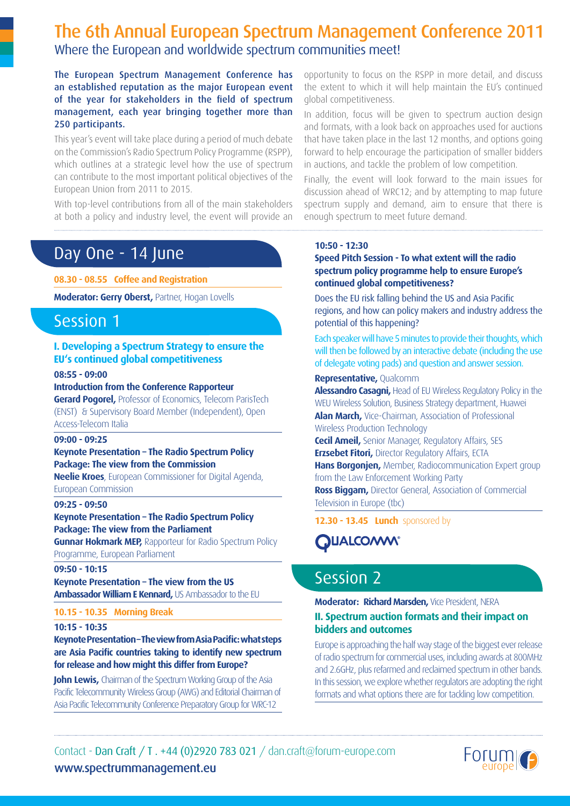# The 6th Annual European Spectrum Management Conference 2011 Where the European and worldwide spectrum communities meet!

The European Spectrum Management Conference has an established reputation as the major European event of the year for stakeholders in the field of spectrum management, each year bringing together more than 250 participants.

This year's event will take place during a period of much debate on the Commission's Radio Spectrum Policy Programme (RSPP), which outlines at a strategic level how the use of spectrum can contribute to the most important political objectives of the European Union from 2011 to 2015.

With top-level contributions from all of the main stakeholders at both a policy and industry level, the event will provide an

# Day One - 14 June

**08.30 - 08.55 Coffee and Registration**

**Moderator: Gerry Oberst,** Partner, Hogan Lovells

# Session 1

### **I. Developing a Spectrum Strategy to ensure the EU's continued global competitiveness**

**08:55 - 09:00**

#### **Introduction from the Conference Rapporteur**

**Gerard Pogorel,** Professor of Economics, Telecom ParisTech (ENST) & Supervisory Board Member (Independent), Open Access-Telecom Italia

#### **09:00 - 09:25**

# **Keynote Presentation – The Radio Spectrum Policy Package: The view from the Commission**

**Neelie Kroes**, European Commissioner for Digital Agenda, European Commission

#### **09:25 - 09:50**

#### **Keynote Presentation – The Radio Spectrum Policy Package: The view from the Parliament**

**Gunnar Hokmark MEP, Rapporteur for Radio Spectrum Policy** Programme, European Parliament

#### **09:50 - 10:15**

**Keynote Presentation – The view from the US Ambassador William E Kennard,** US Ambassador to the EU

#### **10.15 - 10.35 Morning Break**

#### **10:15 - 10:35**

### **Keynote Presentation – The view from Asia Pacific: what steps are Asia Pacific countries taking to identify new spectrum for release and how might this differ from Europe?**

**John Lewis,** Chairman of the Spectrum Working Group of the Asia Pacific Telecommunity Wireless Group (AWG) and Editorial Chairman of Asia Pacific Telecommunity Conference Preparatory Group for WRC-12

opportunity to focus on the RSPP in more detail, and discuss the extent to which it will help maintain the EU's continued global competitiveness.

In addition, focus will be given to spectrum auction design and formats, with a look back on approaches used for auctions that have taken place in the last 12 months, and options going forward to help encourage the participation of smaller bidders in auctions, and tackle the problem of low competition.

Finally, the event will look forward to the main issues for discussion ahead of WRC12; and by attempting to map future spectrum supply and demand, aim to ensure that there is enough spectrum to meet future demand.

#### **10:50 - 12:30**

#### **Speed Pitch Session - To what extent will the radio spectrum policy programme help to ensure Europe's continued global competitiveness?**

Does the EU risk falling behind the US and Asia Pacific regions, and how can policy makers and industry address the potential of this happening?

Each speaker will have 5 minutes to provide their thoughts, which will then be followed by an interactive debate (including the use of delegate voting pads) and question and answer session.

#### **Representative,** Qualcomm

**Alessandro Casagni,** Head of EU Wireless Regulatory Policy in the WEU Wireless Solution, Business Strategy department, Huawei **Alan March,** Vice-Chairman, Association of Professional Wireless Production Technology

**Cecil Ameil,** Senior Manager, Regulatory Affairs, SES **Erzsebet Fitori,** Director Regulatory Affairs, ECTA **Hans Borgonjen,** Member, Radiocommunication Expert group from the Law Enforcement Working Party **Ross Biggam,** Director General, Association of Commercial

Television in Europe (tbc)

**12.30 - 13.45 Lunch** sponsored by



# Session 2

## **Moderator: Richard Marsden,** Vice President, NERA **II. Spectrum auction formats and their impact on bidders and outcomes**

Europe is approaching the half way stage of the biggest ever release of radio spectrum for commercial uses, including awards at 800MHz and 2.6GHz, plus refarmed and reclaimed spectrum in other bands. In this session, we explore whether regulators are adopting the right formats and what options there are for tackling low competition.

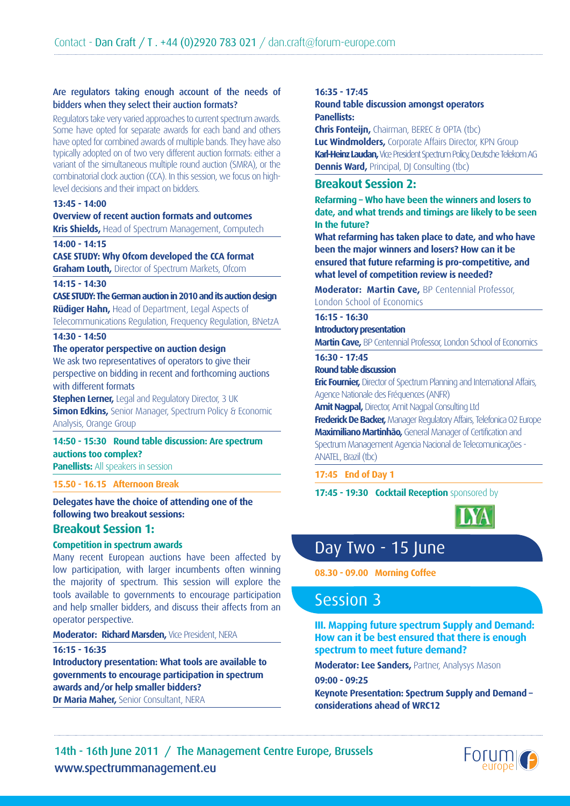#### Are regulators taking enough account of the needs of bidders when they select their auction formats?

Regulators take very varied approaches to current spectrum awards. Some have opted for separate awards for each band and others have opted for combined awards of multiple bands. They have also typically adopted on of two very different auction formats: either a variant of the simultaneous multiple round auction (SMRA), or the combinatorial clock auction (CCA). In this session, we focus on highlevel decisions and their impact on bidders.

#### **13:45 - 14:00**

#### **Overview of recent auction formats and outcomes**

**Kris Shields.** Head of Spectrum Management, Computech

#### **14:00 - 14:15**

**CASE STUDY: Why Ofcom developed the CCA format Graham Louth,** Director of Spectrum Markets, Ofcom

#### **14:15 - 14:30**

**CASE STUDY: The German auction in 2010 and its auction design Rüdiger Hahn,** Head of Department, Legal Aspects of

Telecommunications Regulation, Frequency Regulation, BNetzA

## **14:30 - 14:50**

#### **The operator perspective on auction design**

We ask two representatives of operators to give their perspective on bidding in recent and forthcoming auctions with different formats

**Stephen Lerner,** Legal and Regulatory Director, 3 UK **Simon Edkins,** Senior Manager, Spectrum Policy & Economic Analysis, Orange Group

# **14:50 - 15:30 Round table discussion: Are spectrum auctions too complex?**

**Panellists:** All speakers in session

## **15.50 - 16.15 Afternoon Break**

**Delegates have the choice of attending one of the following two breakout sessions: Breakout Session 1:**

#### **Competition in spectrum awards**

Many recent European auctions have been affected by low participation, with larger incumbents often winning the majority of spectrum. This session will explore the tools available to governments to encourage participation and help smaller bidders, and discuss their affects from an operator perspective.

**Moderator: Richard Marsden,** Vice President, NERA

#### **16:15 - 16:35**

**Introductory presentation: What tools are available to governments to encourage participation in spectrum awards and/or help smaller bidders? Dr Maria Maher,** Senior Consultant, NERA

#### **16:35 - 17:45**

#### **Round table discussion amongst operators Panellists:**

**Chris Fonteijn,** Chairman, BEREC & OPTA (tbc) **Luc Windmolders,** Corporate Affairs Director, KPN Group **Karl-Heinz Laudan,** Vice President Spectrum Policy, Deutsche Telekom AG **Dennis Ward, Principal, DJ Consulting (tbc)** 

# **Breakout Session 2:**

**Refarming – Who have been the winners and losers to date, and what trends and timings are likely to be seen In the future?**

**What refarming has taken place to date, and who have been the major winners and losers? How can it be ensured that future refarming is pro-competitive, and what level of competition review is needed?** 

**Moderator: Martin Cave,** BP Centennial Professor, London School of Economics

# **16:15 - 16:30**

**Introductory presentation**

**Martin Cave,** BP Centennial Professor, London School of Economics

## **16:30 - 17:45**

#### **Round table discussion**

**Eric Fournier,** Director of Spectrum Planning and International Affairs, Agence Nationale des Fréquences (ANFR)

**Amit Nagpal,** Director, Amit Nagpal Consulting Ltd

**Frederick De Backer,** Manager Regulatory Affairs, Telefonica O2 Europe **Maximiliano Martinhão,** General Manager of Certification and Spectrum Management Agencia Nacional de Telecomunicações - ANATEL, Brazil (thc)

### **17:45 End of Day 1**

**17:45 - 19:30 Cocktail Reception** sponsored by



# Day Two - 15 June

**08.30 - 09.00 Morning Coffee** 

# Session 3

**III. Mapping future spectrum Supply and Demand: How can it be best ensured that there is enough spectrum to meet future demand?**

**Moderator: Lee Sanders,** Partner, Analysys Mason

**09:00 - 09:25**

**Keynote Presentation: Spectrum Supply and Demand – considerations ahead of WRC12**

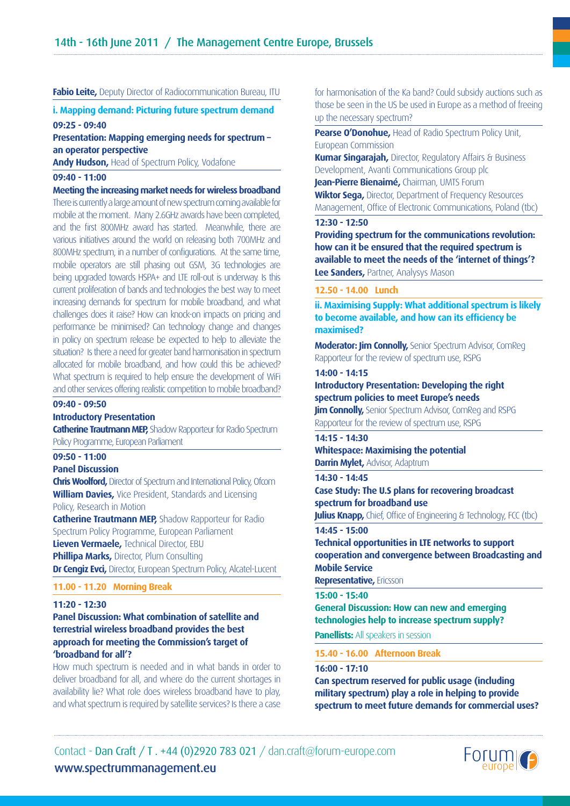#### **Fabio Leite,** Deputy Director of Radiocommunication Bureau, ITU

#### **i. Mapping demand: Picturing future spectrum demand 09:25 - 09:40**

**Presentation: Mapping emerging needs for spectrum – an operator perspective**

**Andy Hudson,** Head of Spectrum Policy, Vodafone

#### **09:40 - 11:00**

**Meeting the increasing market needs for wireless broadband** There is currently a large amount of new spectrum coming available for mobile at the moment. Many 2.6GHz awards have been completed, and the first 800MHz award has started. Meanwhile, there are various initiatives around the world on releasing both 700MHz and 800MHz spectrum, in a number of configurations. At the same time, mobile operators are still phasing out GSM, 3G technologies are being upgraded towards HSPA+ and LTE roll-out is underway. Is this current proliferation of bands and technologies the best way to meet increasing demands for spectrum for mobile broadband, and what challenges does it raise? How can knock-on impacts on pricing and performance be minimised? Can technology change and changes in policy on spectrum release be expected to help to alleviate the situation? Is there a need for greater band harmonisation in spectrum allocated for mobile broadband, and how could this be achieved? What spectrum is required to help ensure the development of WiFi and other services offering realistic competition to mobile broadband?

#### **09:40 - 09:50**

#### **Introductory Presentation**

**Catherine Trautmann MEP,** Shadow Rapporteur for Radio Spectrum Policy Programme, European Parliament

#### **09:50 - 11:00**

#### **Panel Discussion**

**Chris Woolford,** Director of Spectrum and International Policy, Ofcom **William Davies,** Vice President, Standards and Licensing Policy, Research in Motion

**Catherine Trautmann MEP, Shadow Rapporteur for Radio** Spectrum Policy Programme, European Parliament **Lieven Vermaele,** Technical Director, EBU **Phillipa Marks, Director, Plum Consulting Dr Cengiz Evci,** Director, European Spectrum Policy, Alcatel-Lucent

#### **11.00 - 11.20 Morning Break**

#### **11:20 - 12:30**

### **Panel Discussion: What combination of satellite and terrestrial wireless broadband provides the best approach for meeting the Commission's target of 'broadband for all'?**

How much spectrum is needed and in what bands in order to deliver broadband for all, and where do the current shortages in availability lie? What role does wireless broadband have to play, and what spectrum is required by satellite services? Is there a case

for harmonisation of the Ka band? Could subsidy auctions such as those be seen in the US be used in Europe as a method of freeing up the necessary spectrum?

**Pearse O'Donohue,** Head of Radio Spectrum Policy Unit, European Commission

**Kumar Singarajah,** Director, Regulatory Affairs & Business Development, Avanti Communications Group plc

**Jean-Pierre Bienaimé,** Chairman, UMTS Forum

**Wiktor Sega, Director, Department of Frequency Resources** Management, Office of Electronic Communications, Poland (tbc)

#### **12:30 - 12:50**

**Providing spectrum for the communications revolution: how can it be ensured that the required spectrum is available to meet the needs of the 'internet of things'? Lee Sanders, Partner, Analysys Mason** 

#### **12.50 - 14.00 Lunch**

**ii. Maximising Supply: What additional spectrum is likely to become available, and how can its efficiency be maximised?**

**Moderator: Jim Connolly,** Senior Spectrum Advisor, ComReg Rapporteur for the review of spectrum use, RSPG

#### **14:00 - 14:15**

**Introductory Presentation: Developing the right spectrum policies to meet Europe's needs Jim Connolly,** Senior Spectrum Advisor, ComReg and RSPG

Rapporteur for the review of spectrum use, RSPG

**14:15 - 14:30 Whitespace: Maximising the potential Darrin Mylet,** Advisor, Adaptrum

#### **14:30 - 14:45**

**Case Study: The U.S plans for recovering broadcast spectrum for broadband use**

**Julius Knapp,** Chief, Office of Engineering & Technology, FCC (tbc)

#### **14:45 - 15:00**

**Technical opportunities in LTE networks to support cooperation and convergence between Broadcasting and Mobile Service**

#### **Representative,** Ericsson

#### **15:00 - 15:40**

**General Discussion: How can new and emerging technologies help to increase spectrum supply?**

**Panellists:** All speakers in session

**15.40 - 16.00 Afternoon Break**

#### **16:00 - 17:10**

**Can spectrum reserved for public usage (including military spectrum) play a role in helping to provide spectrum to meet future demands for commercial uses?**

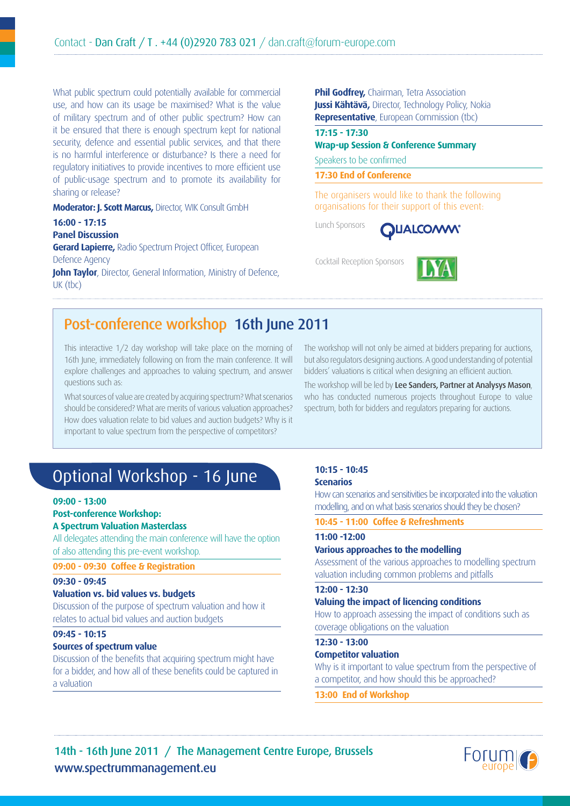What public spectrum could potentially available for commercial use, and how can its usage be maximised? What is the value of military spectrum and of other public spectrum? How can it be ensured that there is enough spectrum kept for national security, defence and essential public services, and that there is no harmful interference or disturbance? Is there a need for regulatory initiatives to provide incentives to more efficient use of public-usage spectrum and to promote its availability for sharing or release?

**Moderator: J. Scott Marcus,** Director, WIK Consult GmbH

**16:00 - 17:15 Panel Discussion Gerard Lapierre,** Radio Spectrum Project Officer, European Defence Agency **John Taylor**, Director, General Information, Ministry of Defence, UK (tbc)

**Phil Godfrey, Chairman, Tetra Association Jussi Kähtävä,** Director, Technology Policy, Nokia **Representative**, European Commission (tbc)

### **Wrap-up Session & Conference Summary**

Speakers to be confirmed

**17:30 End of Conference**

The organisers would like to thank the following organisations for their support of this event:

Lunch Sponsors

**17:15 - 17:30**



Cocktail Reception Sponsors



# Post-conference workshop 16th June 2011

This interactive 1/2 day workshop will take place on the morning of 16th June, immediately following on from the main conference. It will explore challenges and approaches to valuing spectrum, and answer questions such as:

What sources of value are created by acquiring spectrum? What scenarios should be considered? What are merits of various valuation approaches? How does valuation relate to bid values and auction budgets? Why is it important to value spectrum from the perspective of competitors?

The workshop will not only be aimed at bidders preparing for auctions, but also regulators designing auctions. A good understanding of potential bidders' valuations is critical when designing an efficient auction.

The workshop will be led by Lee Sanders, Partner at Analysys Mason, who has conducted numerous projects throughout Europe to value spectrum, both for bidders and regulators preparing for auctions.

# Optional Workshop - 16 June

#### **09:00 - 13:00**

#### **Post-conference Workshop:**

#### **A Spectrum Valuation Masterclass**

All delegates attending the main conference will have the option of also attending this pre-event workshop.

**09:00 - 09:30 Coffee & Registration**

#### **09:30 - 09:45**

#### **Valuation vs. bid values vs. budgets**

Discussion of the purpose of spectrum valuation and how it relates to actual bid values and auction budgets

#### **09:45 - 10:15**

#### **Sources of spectrum value**

Discussion of the benefits that acquiring spectrum might have for a bidder, and how all of these benefits could be captured in a valuation

#### **10:15 - 10:45 Scenarios**

How can scenarios and sensitivities be incorporated into the valuation modelling, and on what basis scenarios should they be chosen?

**10:45 - 11:00 Coffee & Refreshments**

### **11:00 -12:00**

### **Various approaches to the modelling**

Assessment of the various approaches to modelling spectrum valuation including common problems and pitfalls

#### **12:00 - 12:30**

#### **Valuing the impact of licencing conditions**

How to approach assessing the impact of conditions such as coverage obligations on the valuation

#### **12:30 - 13:00**

### **Competitor valuation**

Why is it important to value spectrum from the perspective of a competitor, and how should this be approached?

#### **13:00 End of Workshop**

www.spectrummanagement.eu 14th - 16th June 2011 / The Management Centre Europe, Brussels